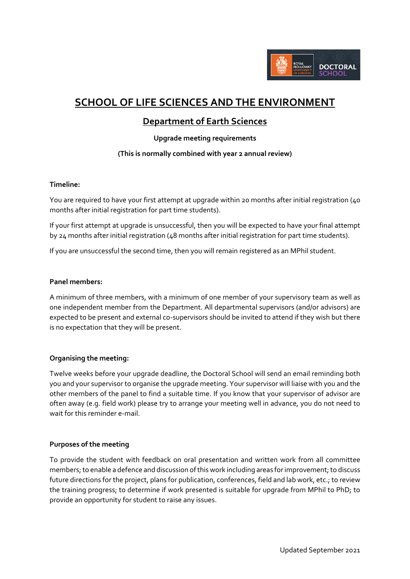

# **SCHOOL OF LIFE SCIENCES AND THE ENVIRONMENT**

# **Department of Earth Sciences**

### **Upgrade meeting requirements**

## **(This is normally combined with year 2 annual review)**

#### **Timeline:**

You are required to have your first attempt at upgrade within 20 months after initial registration (40 months after initial registration for part time students).

If your first attempt at upgrade is unsuccessful, then you will be expected to have your final attempt by 24 months after initial registration (48 months after initial registration for part time students).

If you are unsuccessful the second time, then you will remain registered as an MPhil student.

#### **Panel members:**

A minimum of three members, with a minimum of one member of your supervisory team as well as one independent member from the Department. All departmental supervisors (and/or advisors) are expected to be present and external co-supervisors should be invited to attend if they wish but there is no expectation that they will be present.

#### **Organising the meeting:**

Twelve weeks before your upgrade deadline, the Doctoral School will send an email reminding both you and your supervisor to organise the upgrade meeting. Your supervisor will liaise with you and the other members of the panel to find a suitable time. If you know that your supervisor of advisor are often away (e.g. field work) please try to arrange your meeting well in advance, you do not need to wait for this reminder e-mail.

#### **Purposes of the meeting**

To provide the student with feedback on oral presentation and written work from all committee members; to enable a defence and discussion of this work including areas for improvement; to discuss future directions for the project, plans for publication, conferences, field and lab work, etc.; to review the training progress; to determine if work presented is suitable for upgrade from MPhil to PhD; to provide an opportunity for student to raise any issues.